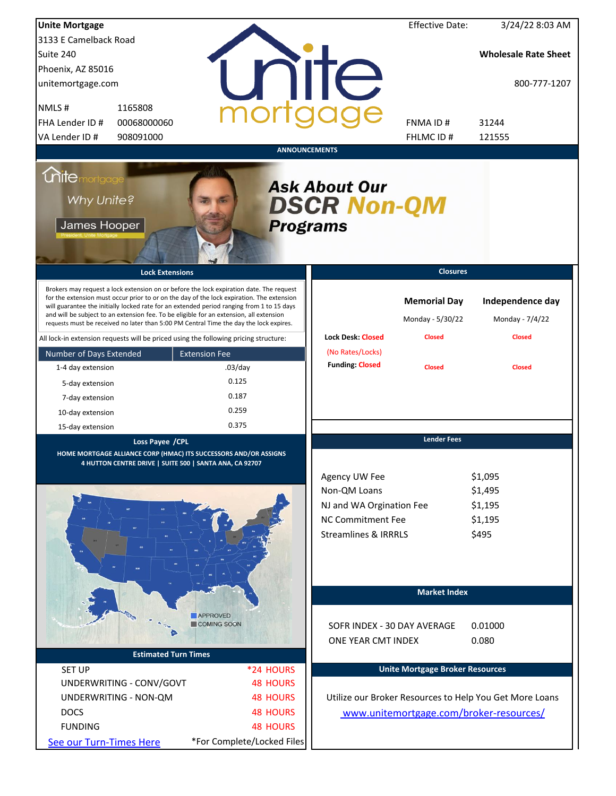| <b>Unite Mortgage</b>                                                                |                                                                                                                                                                                                                                                                                                                                                                                                                                                                        |                      |                            |                                                                                                                   | <b>Effective Date:</b>                                   | 3/24/22 8:03 AM                                         |
|--------------------------------------------------------------------------------------|------------------------------------------------------------------------------------------------------------------------------------------------------------------------------------------------------------------------------------------------------------------------------------------------------------------------------------------------------------------------------------------------------------------------------------------------------------------------|----------------------|----------------------------|-------------------------------------------------------------------------------------------------------------------|----------------------------------------------------------|---------------------------------------------------------|
| 3133 E Camelback Road                                                                |                                                                                                                                                                                                                                                                                                                                                                                                                                                                        |                      |                            |                                                                                                                   |                                                          |                                                         |
| Suite 240                                                                            |                                                                                                                                                                                                                                                                                                                                                                                                                                                                        |                      |                            |                                                                                                                   |                                                          | <b>Wholesale Rate Sheet</b>                             |
| Phoenix, AZ 85016                                                                    |                                                                                                                                                                                                                                                                                                                                                                                                                                                                        |                      |                            |                                                                                                                   |                                                          |                                                         |
| unitemortgage.com                                                                    |                                                                                                                                                                                                                                                                                                                                                                                                                                                                        |                      |                            | <b>Tite</b>                                                                                                       |                                                          | 800-777-1207                                            |
| NMLS#                                                                                | 1165808                                                                                                                                                                                                                                                                                                                                                                                                                                                                |                      |                            |                                                                                                                   |                                                          |                                                         |
| FHA Lender ID #                                                                      | 00068000060                                                                                                                                                                                                                                                                                                                                                                                                                                                            |                      |                            |                                                                                                                   | FNMA ID#                                                 | 31244                                                   |
| VA Lender ID #                                                                       | 908091000                                                                                                                                                                                                                                                                                                                                                                                                                                                              |                      |                            |                                                                                                                   | FHLMC ID #                                               | 121555                                                  |
|                                                                                      |                                                                                                                                                                                                                                                                                                                                                                                                                                                                        |                      | <b>ANNOUNCEMENTS</b>       |                                                                                                                   |                                                          |                                                         |
| <i><u><b>Chitemortgage</b></u></i><br>Why Unite?<br>James Hooper                     |                                                                                                                                                                                                                                                                                                                                                                                                                                                                        |                      |                            | <b>Ask About Our</b><br><b>DSCR Non-QM</b><br><b>Programs</b>                                                     |                                                          |                                                         |
|                                                                                      | <b>Lock Extensions</b>                                                                                                                                                                                                                                                                                                                                                                                                                                                 |                      |                            |                                                                                                                   | <b>Closures</b>                                          |                                                         |
|                                                                                      | Brokers may request a lock extension on or before the lock expiration date. The request<br>for the extension must occur prior to or on the day of the lock expiration. The extension<br>will guarantee the initially locked rate for an extended period ranging from 1 to 15 days<br>and will be subject to an extension fee. To be eligible for an extension, all extension<br>requests must be received no later than 5:00 PM Central Time the day the lock expires. |                      |                            | <b>Lock Desk: Closed</b>                                                                                          | <b>Memorial Day</b><br>Monday - 5/30/22<br><b>Closed</b> | Independence day<br>Monday - 7/4/22<br><b>Closed</b>    |
| All lock-in extension requests will be priced using the following pricing structure: |                                                                                                                                                                                                                                                                                                                                                                                                                                                                        |                      |                            | (No Rates/Locks)                                                                                                  |                                                          |                                                         |
| Number of Days Extended                                                              |                                                                                                                                                                                                                                                                                                                                                                                                                                                                        | <b>Extension Fee</b> |                            | <b>Funding: Closed</b>                                                                                            |                                                          |                                                         |
| 1-4 day extension                                                                    |                                                                                                                                                                                                                                                                                                                                                                                                                                                                        | $.03$ /day           |                            |                                                                                                                   | <b>Closed</b>                                            | <b>Closed</b>                                           |
| 5-day extension                                                                      |                                                                                                                                                                                                                                                                                                                                                                                                                                                                        | 0.125                |                            |                                                                                                                   |                                                          |                                                         |
| 7-day extension                                                                      |                                                                                                                                                                                                                                                                                                                                                                                                                                                                        | 0.187                |                            |                                                                                                                   |                                                          |                                                         |
| 10-day extension                                                                     |                                                                                                                                                                                                                                                                                                                                                                                                                                                                        | 0.259                |                            |                                                                                                                   |                                                          |                                                         |
| 15-day extension                                                                     |                                                                                                                                                                                                                                                                                                                                                                                                                                                                        | 0.375                |                            |                                                                                                                   |                                                          |                                                         |
|                                                                                      | Loss Payee / CPL<br>HOME MORTGAGE ALLIANCE CORP (HMAC) ITS SUCCESSORS AND/OR ASSIGNS<br>4 HUTTON CENTRE DRIVE   SUITE 500   SANTA ANA, CA 92707                                                                                                                                                                                                                                                                                                                        |                      |                            | Agency UW Fee<br>Non-QM Loans<br>NJ and WA Orgination Fee<br>NC Commitment Fee<br><b>Streamlines &amp; IRRRLS</b> | <b>Lender Fees</b>                                       | \$1,095<br>\$1,495<br>\$1,195<br>\$1,195<br>\$495       |
|                                                                                      |                                                                                                                                                                                                                                                                                                                                                                                                                                                                        |                      |                            |                                                                                                                   | <b>Market Index</b>                                      |                                                         |
|                                                                                      |                                                                                                                                                                                                                                                                                                                                                                                                                                                                        | <b>APPROVED</b>      |                            |                                                                                                                   |                                                          |                                                         |
|                                                                                      |                                                                                                                                                                                                                                                                                                                                                                                                                                                                        | COMING SOON          |                            | SOFR INDEX - 30 DAY AVERAGE                                                                                       |                                                          | 0.01000                                                 |
|                                                                                      |                                                                                                                                                                                                                                                                                                                                                                                                                                                                        |                      |                            | ONE YEAR CMT INDEX                                                                                                |                                                          | 0.080                                                   |
|                                                                                      | <b>Estimated Turn Times</b>                                                                                                                                                                                                                                                                                                                                                                                                                                            |                      |                            |                                                                                                                   |                                                          |                                                         |
| <b>SET UP</b>                                                                        |                                                                                                                                                                                                                                                                                                                                                                                                                                                                        |                      | *24 HOURS                  |                                                                                                                   | <b>Unite Mortgage Broker Resources</b>                   |                                                         |
|                                                                                      | UNDERWRITING - CONV/GOVT                                                                                                                                                                                                                                                                                                                                                                                                                                               |                      | <b>48 HOURS</b>            |                                                                                                                   |                                                          |                                                         |
|                                                                                      | UNDERWRITING - NON-QM                                                                                                                                                                                                                                                                                                                                                                                                                                                  |                      | <b>48 HOURS</b>            |                                                                                                                   |                                                          | Utilize our Broker Resources to Help You Get More Loans |
| <b>DOCS</b>                                                                          |                                                                                                                                                                                                                                                                                                                                                                                                                                                                        |                      | <b>48 HOURS</b>            |                                                                                                                   |                                                          | www.unitemortgage.com/broker-resources/                 |
| <b>FUNDING</b>                                                                       |                                                                                                                                                                                                                                                                                                                                                                                                                                                                        |                      | <b>48 HOURS</b>            |                                                                                                                   |                                                          |                                                         |
| See our Turn-Times Here                                                              |                                                                                                                                                                                                                                                                                                                                                                                                                                                                        |                      | *For Complete/Locked Files |                                                                                                                   |                                                          |                                                         |
|                                                                                      |                                                                                                                                                                                                                                                                                                                                                                                                                                                                        |                      |                            |                                                                                                                   |                                                          |                                                         |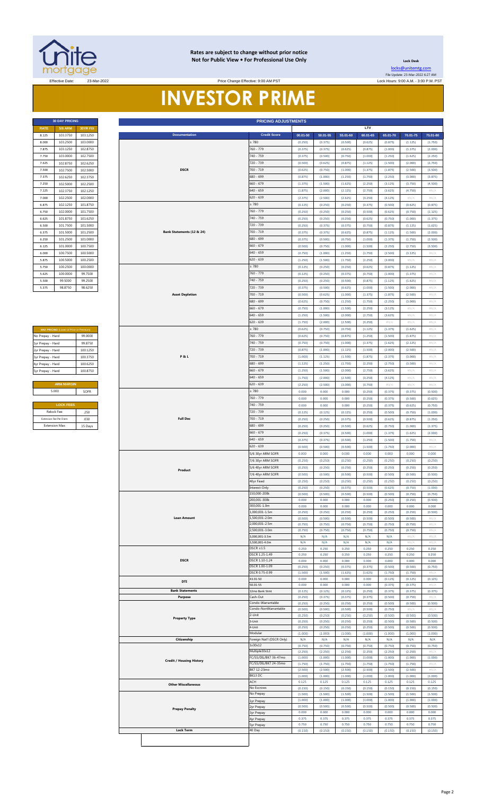

### **Rates are subject to change without prior notice Not for Public View • For Professional Use Only**

**30 DAY PRICING PRICING ADJUSTMENTS**

**Lock Desk** [locks@unitemtg](mailto:locks@unitemtg.com).com File Update: 23-Mar-2022 6:27 AM

Effective Date: 23-Mar-2022 Lock Hours: 9:00 A.M. - 3:00 P.M. PST Price Change Effective: 9:00 AM PST

# **INVESTOR PRIME**

|             | <b>30 DAY PRICING</b> |                 |                           | <b>PRICING ADJUSTMENTS</b> |          |          |          |          |          |          |
|-------------|-----------------------|-----------------|---------------------------|----------------------------|----------|----------|----------|----------|----------|----------|
| <b>RATE</b> | <b>5/6 ARM</b>        | <b>30YR FIX</b> |                           |                            |          |          |          | LTV      |          |          |
| 8.125       | 103.3750              | 103.1250        | <b>Documentation</b>      | <b>Credit Score</b>        | 00.01-50 | 50.01-55 | 55.01-60 | 60.01-65 | 65.01-70 | 70.01-75 |
| 8,000       | 103.2500              | 103,0000        |                           | $\geq 780$                 | (0.250)  | (0.375)  | (0.500)  | (0.625)  | (0.875)  | (1.125)  |
| 7.875       | 103.1250              | 102.8750        |                           | 760 - 779                  | (0.375)  | (0.375)  | (0.625)  | (0.875)  | (1.000)  | (1.375)  |
| 7.750       | 103,0000              | 102,7500        |                           | 740 - 759                  | (0.375)  | (0.500)  | (0.750)  | (1.000)  | (1.250)  | (1.625)  |
| 7.625       | 102.8750              | 102.6250        |                           | 720 - 739                  | (0.500)  | (0.625)  | (0.875)  | (1.125)  | (1.500)  | (2.000)  |
| 7.500       | 102,7500              | 102.5000        | <b>DSCR</b>               | 700 - 719                  | (0.625)  | (0.750)  | (1.000)  | (1.375)  | (1.875)  | (2.500)  |
| 7.375       | 102.6250              | 102.3750        |                           | 680 - 699                  | (0.875)  | (1.000)  | (1.250)  | (1.750)  | (2.250)  | (3.000)  |
| 7.250       | 102.5000              | 102.2500        |                           | $660 - 679$                | (1.375)  | (1.500)  | (1.625)  | (2.250)  | (3.125)  | (3.750)  |
| 7.125       | 102.3750              | 102.1250        |                           | $640 - 659$                | (1.875)  | (2.000)  | (2.125)  | (2.750)  | (3.625)  | (4.750)  |
| 7.000       | 102.2500              | 102.0000        |                           | $620 - 639$                | (2.375)  | (2.500)  | (2.625)  | (3.250)  | (4.125)  | $\#N/A$  |
| 6.875       | 102.1250              | 101.8750        |                           | $\geq 780$                 | (0.125)  | (0.250)  | (0.250)  | (0.375)  | (0.500)  | (0.625)  |
| 6.750       | 102.0000              | 101.7500        |                           | 760 - 779                  | (0.250)  | (0.250)  | (0.250)  | (0.500)  | (0.625)  | (0.750)  |
| 6.625       | 101.8750              | 101.6250        |                           | 740 - 759                  | (0.250)  | (0.250)  | (0.250)  | (0.625)  | (0.750)  | (1.000)  |
| 6.500       | 101.7500              | 101.5000        |                           | 720 - 739                  | (0.250)  | (0.375)  | (0.375)  | (0.750)  | (0.875)  | (1.125)  |
| 6.375       | 101.5000              | 101.2500        | Bank Statements (12 & 24) | 700 - 719                  | (0.375)  | (0.375)  | (0.625)  | (0.875)  | (1.125)  | (1.500)  |
| 6.250       | 101.2500              | 101.0000        |                           | 680 - 699                  | (0.375)  | (0.500)  | (0.750)  | (1.000)  | (1.375)  | (1.750)  |
| 6.125       | 101.0000              | 100,7500        |                           | $660 - 679$                | (0.500)  | (0.750)  | (1.000)  | (1.500)  | (2.250)  | (2.750)  |
| 6.000       | 100,7500              | 100.5000        |                           | $640 - 659$                | (0.750)  | (1.000)  | (1.250)  | (1.750)  | (2.500)  | (3.125)  |
| 5.875       | 100,5000              | 100,2500        |                           | $620 - 639$                | (1.250)  | (1.500)  | (1.750)  | (2.250)  | (3.000)  | $\#N/A$  |
| 5.750       | 100,2500              | 100,0000        |                           | $\geq 780$                 | (0.125)  | (0.250)  | (0.250)  | (0.625)  | (0.875)  | (1.125)  |
| 5.625       | 100,0000              | 99.7500         |                           | $760 - 779$                | (0.125)  | (0.250)  | (0.375)  | (0.750)  | (1.000)  | (1.375)  |
| 5.500       | 99.5000               | 99.2500         |                           | 740 - 759                  | (0.250)  | (0.250)  | (0.500)  | (0.875)  | (1.125)  | (1.625)  |
| 5.375       | 98.8750               | 98 6250         |                           | $720 - 739$                | (0.375)  | (0.500)  | (0.625)  | (1.000)  | (1.500)  | (2.000)  |

| <b>MAX PRICING (Lower of Price or Premium)</b> |          |
|------------------------------------------------|----------|
| No Prepay - Hard                               | 99.0000  |
| 1yr Prepay - Hard                              | 99 8750  |
| 2yr Prepay - Hard                              | 100 1250 |
| 3yr Prepay - Hard                              | 100 3750 |
| 4yr Prepay - Hard                              | 100.6250 |
| 5yr Prepay - Hard                              | 100.8750 |
|                                                |          |
| <b>ARM MARGIN</b>                              |          |
| 5.000                                          | SOFR     |
|                                                |          |
| <b>LOCK FEES</b>                               |          |
| Relock Fee:                                    | 250      |

| 7.875             |                                         |          |                                 |                          |              |         |                  |         |         |         |                            |
|-------------------|-----------------------------------------|----------|---------------------------------|--------------------------|--------------|---------|------------------|---------|---------|---------|----------------------------|
|                   | 103.1250                                | 102.8750 |                                 | 760 - 779                | (0.375)      | (0.375) | (0.625)          | (0.875) | (1.000) | (1.375) | (2.000)                    |
| 7.750             | 103.0000                                | 102.7500 |                                 | 740 - 759                | (0.375)      | (0.500) | (0.750)          | (1.000) | (1.250) | (1.625) | (2.250)                    |
| 7.625             | 102.8750                                | 102.6250 |                                 | 720 - 739                | (0.500)      | (0.625) | (0.875)          | (1.125) | (1.500) | (2.000) | (2.750)                    |
| 7.500             | 102.7500                                | 102.5000 | <b>DSCR</b>                     | 700 - 719                | (0.625)      | (0.750) | (1.000)          | (1.375) | (1.875) | (2.500) | (3.500)                    |
| 7.375             | 102.6250                                | 102.3750 |                                 | 680 - 699                |              |         |                  |         |         |         |                            |
|                   |                                         |          |                                 |                          | (0.875)      | (1.000) | (1.250)          | (1.750) | (2.250) | (3.000) | (3.875)                    |
| 7.250             | 102.5000                                | 102.2500 |                                 | $660 - 679$              | (1.375)      | (1.500) | (1.625)          | (2.250) | (3.125) | (3.750) | (4.500)                    |
| 7.125             | 102.3750                                | 102.1250 |                                 | 540 - 659                | (1.875)      | (2.000) | (2.125)          | (2.750) | (3.625) | (4.750) | $\#N/A$                    |
| 7.000             | 102.2500                                | 102.0000 |                                 | 620 - 639                | (2.375)      | (2.500) | (2.625)          | (3.250) | (4.125) | #N/A    | #N/A                       |
| 6.875             | 102.1250                                | 101.8750 |                                 | $\geq 780$               | (0.125)      | (0.250) | (0.250)          | (0.375) | (0.500) | (0.625) | (0.875)                    |
|                   |                                         |          |                                 |                          |              |         |                  |         |         |         |                            |
| 6.750             | 102.0000                                | 101.7500 |                                 | 760 - 779                | (0.250)      | (0.250) | (0.250)          | (0.500) | (0.625) | (0.750) | (1.125)                    |
| 6.625             | 101.8750                                | 101.6250 |                                 | 740 - 759                | (0.250)      | (0.250) | (0.250)          | (0.625) | (0.750) | (1.000) | (1.375)                    |
| 6.500             | 101.7500                                | 101.5000 |                                 | 720 - 739                | (0.250)      | (0.375) | (0.375)          | (0.750) | (0.875) | (1.125) | (1.625)                    |
| 6.375             | 101.5000                                | 101.2500 | Bank Statements (12 & 24)       | 700 - 719                | (0.375)      | (0.375) | (0.625)          | (0.875) | (1.125) | (1.500) | (2.000)                    |
|                   |                                         |          |                                 |                          |              |         |                  |         |         |         |                            |
| 6.250             | 101.2500                                | 101.0000 |                                 | 680 - 699                | (0.375)      | (0.500) | (0.750)          | (1.000) | (1.375) | (1.750) | (2.500)                    |
| 6.125             | 101.0000                                | 100.7500 |                                 | $660 - 679$              | (0.500)      | (0.750) | (1.000)          | (1.500) | (2.250) | (2.750) | (3.500)                    |
| 6.000             | 100.7500                                | 100.5000 |                                 | 640 - 659                | (0.750)      | (1.000) | (1.250)          | (1.750) | (2.500) | (3.125) | $\#N/A$                    |
| 5.875             | 100.5000                                | 100.2500 |                                 | $620 - 639$              | (1.250)      | (1.500) | (1.750)          | (2.250) | (3.000) | #N/A    | #N/A                       |
|                   |                                         |          |                                 |                          |              |         |                  |         |         |         |                            |
| 5.750             | 100.2500                                | 100.0000 |                                 | 2780                     | (0.125)      | (0.250) | (0.250)          | (0.625) | (0.875) | (1.125) | #N/A                       |
| 5.625             | 100.0000                                | 99.7500  |                                 | 760 - 779                | (0.125)      | (0.250) | (0.375)          | (0.750) | (1.000) | (1.375) | #N/A                       |
| 5.500             | 99.5000                                 | 99.2500  |                                 | 740 - 759                | (0.250)      | (0.250) | (0.500)          | (0.875) | (1.125) | (1.625) | #N/A                       |
| 5.375             | 98.8750                                 | 98.6250  |                                 | 720 - 739                | (0.375)      | (0.500) | (0.625)          | (1.000) | (1.500) | (2.000) | #N/A                       |
|                   |                                         |          | <b>Asset Depletion</b>          | 700 - 719                |              |         |                  |         |         |         |                            |
|                   |                                         |          |                                 |                          | (0.500)      | (0.625) | (1.000)          | (1.375) | (1.875) | (2.500) | $\# \mathbb{N}/\mathbb{A}$ |
|                   |                                         |          |                                 | 680 - 699                | (0.625)      | (0.750) | (1.250)          | (1.750) | (2.250) | (3.000) | #N/A                       |
|                   |                                         |          |                                 | 660 - 679                | (0.750)      | (1.000) | (1.500)          | (2.250) | (3.125) | #N/A    | #N/A                       |
|                   |                                         |          |                                 | 540 - 659                | (1.250)      | (1.500) | (2.000)          | (2.750) | (3.625) | #N/A    | #N/A                       |
|                   |                                         |          |                                 | 520 - 639                | (1.750)      | (2.000) | (2.500)          | (3.250) | $\#N/A$ | #N/A    | #N/A                       |
|                   |                                         |          |                                 |                          |              |         |                  |         |         |         |                            |
|                   | MAX PRICING (Lower of Price or Premium) |          |                                 | 2780                     | (0.625)      | (0.750) | (0.750)          | (1.125) | (1.375) | (1.625) | #N/A                       |
| No Prepay - Hard  |                                         | 99.0000  |                                 | 760 - 779                | (0.625)      | (0.750) | (0.875)          | (1.250) | (1.500) | (1.875) | #N/A                       |
| 1yr Prepay - Hard |                                         | 99.8750  |                                 | 740 - 759                | (0.750)      | (0.750) | (1.000)          | (1.375) | (1.625) | (2.125) | $\# \mathbb{N}/\mathbb{A}$ |
| 2yr Prepay - Hard |                                         | 100.1250 |                                 | 720 - 739                | (0.875)      | (1.000) | (1.125)          | (1.500) | (2.000) | (2.500) | #N/A                       |
|                   |                                         | 100.3750 | <b>P&amp;L</b>                  | 700 - 719                | (1.000)      | (1.125) | (1.500)          | (1.875) | (2.375) | (3.000) | $\#N/A$                    |
| 3yr Prepay - Hard |                                         |          |                                 |                          |              |         |                  |         |         |         |                            |
| 4yr Prepay - Hard |                                         | 100.6250 |                                 | 580 - 699                | (1.125)      | (1.250) | (1.750)          | (2.250) | (2.750) | (3.500) | #N/A                       |
| 5yr Prepay - Hard |                                         | 100.8750 |                                 | $660 - 679$              | (1.250)      | (1.500) | (2.000)          | (2.750) | (3.625) | $\#N/A$ | #N/A                       |
|                   |                                         |          |                                 | 640 - 659                | (1.750)      | (2.000) | (2.500)          | (3.250) | (4.125) | #N/A    | #N/A                       |
|                   | <b>ARM MARGIN</b>                       |          |                                 | 620 - 639                |              |         |                  |         |         |         |                            |
|                   |                                         |          |                                 |                          | (2.250)      | (2.500) | (3.000)          | (3.750) | $\#N/A$ | #N/A    | #N/A                       |
|                   | 5.000                                   | SOFR     |                                 | 2780                     | 0.000        | 0.000   | 0.000            | (0.250) | (0.375) | (0.375) | (0.500)                    |
|                   |                                         |          |                                 | 760 - 779                | 0.000        | 0.000   | 0.000            | (0.250) | (0.375) | (0.500) | (0.625)                    |
|                   | <b>LOCK FEES</b>                        |          |                                 | 740 - 759                | 0.000        | 0.000   | 0.000            | (0.250) | (0.375) | (0.625) | (0.750)                    |
|                   | Relock Fee:                             | .250     |                                 | 720 - 739                | (0.125)      | (0.125) | (0.125)          | (0.250) | (0.500) | (0.750) | (1.000)                    |
|                   |                                         |          |                                 |                          |              |         |                  |         |         |         |                            |
|                   | Extension Fee Per Diem                  | .030     | <b>Full Doc</b>                 | 700 - 719                | (0.250)      | (0.250) | (0.375)          | (0.500) | (0.625) | (0.875) | (1.250)                    |
|                   | <b>Extension Max:</b>                   | 15 Days  |                                 | 680 - 699                | (0.250)      | (0.250) | (0.500)          | (0.625) | (0.750) | (1.000) | (1.375)                    |
|                   |                                         |          |                                 | 660 - 679                | (0.250)      | (0.375) | (0.500)          | (1.000) | (1.375) | (1.625) | (2.000)                    |
|                   |                                         |          |                                 | $640 - 659$              | (0.375)      | (0.375) | (0.500)          | (1.250) | (1.500) | (1.750) | #N/A                       |
|                   |                                         |          |                                 | $620 - 639$              |              |         |                  |         |         |         |                            |
|                   |                                         |          |                                 |                          | (0.500)      | (0.500) | (0.500)          | (1.500) | (1.750) | (2.000) | #N/A                       |
|                   |                                         |          |                                 | 5/6 30yr ARM SOFR        | 0.000        | 0.000   | 0.000            | 0.000   | 0.000   | 0.000   | 0.000                      |
|                   |                                         |          |                                 | 7/6 30yr ARM SOFR        | (0.250)      | (0.250) | (0.250)          | (0.250) | (0.250) | (0.250) | (0.250)                    |
|                   |                                         |          |                                 | 5/6 40yr ARM SOFR        | (0.250)      | (0.250) | (0.250)          | (0.250) | (0.250) | (0.250) | (0.250)                    |
|                   |                                         |          | Product                         |                          |              |         |                  |         |         |         |                            |
|                   |                                         |          |                                 | 7/6 40yr ARM SOFR        | (0.500)      | (0.500) | (0.500)          | (0.500) | (0.500) | (0.500) | (0.500)                    |
|                   |                                         |          |                                 | 40yr Fixed               | (0.250)      | (0.250) | (0.250)          | (0.250) | (0.250) | (0.250) | (0.250)                    |
|                   |                                         |          |                                 | nterest-Only             | (0.250)      | (0.250) | (0.375)          | (0.500) | (0.625) | (0.750) | (1.000)                    |
|                   |                                         |          |                                 | 150,000-200k             | (0.500)      | (0.500) | (0.500)          | (0.500) | (0.500) | (0.750) | (0.750)                    |
|                   |                                         |          |                                 | 00,001-300k              | <b>U.UUU</b> | 0.000   | <b>U.UUU</b>     | 0.000   | (0.250) | (0.250) | (0.500)                    |
|                   |                                         |          |                                 | 300,001-1.0m             | 0.000        | 0.000   | 0.000            | 0.000   | 0.000   | 0.000   | 0.000                      |
|                   |                                         |          |                                 | 1,000,001-1.5m           | (0.250)      | (0.250) | (0.250)          | (0.250) | (0.250) | (0.250) | (0.500)                    |
|                   |                                         |          | <b>Loan Amount</b>              | 1,500,001-2.0m           | (0.500)      | (0.500) | (0.500)          | (0.500) | (0.500) | (0.500) | #N/A                       |
|                   |                                         |          |                                 | 2,000,001-2.5m           | (0.750)      | (0.750) | (0.750)          | (0.750) | (0.750) | (0.750) | #N/A                       |
|                   |                                         |          |                                 | 2,500,001-3.0m           | (0.750)      | (0.750) | (0.750)          | (0.750) | (0.750) | (0.750) | #N/A                       |
|                   |                                         |          |                                 | 3,000,001-3.5m           | N/A          | N/A     | N/A              | N/A     | N/A     | #N/A    | #N/A                       |
|                   |                                         |          |                                 | 500,001-4.0m             | N/A          | N/A     | N/A              | N/A     | N/A     | #N/A    | #N/A                       |
|                   |                                         |          |                                 | $DSCR \ge 1.5$           | 0.250        | 0.250   | 0.250            | 0.250   | 0.250   | 0.250   | 0.250                      |
|                   |                                         |          |                                 | DSCR 1.25-1.49           | 0.250        | 0.250   | 0.250            | 0.250   | 0.250   | 0.250   | 0.250                      |
|                   |                                         |          | <b>DSCR</b>                     | DSCR 1.10-1.24           | 0.000        | 0.000   | 0.000            | 0.000   | 0.000   | 0.000   | 0.000                      |
|                   |                                         |          |                                 | DSCR 1.00-1.09           | (0.250)      | (0.250) | (0.375)          | (0.375) | (0.500) | (0.500) | (0.750)                    |
|                   |                                         |          |                                 | DSCR 0.75-0.99           |              |         |                  |         |         |         | $\#N/I$                    |
|                   |                                         |          |                                 |                          | (1.500)      | (1.500) | (1.625)<br>0.000 | (1.625) | (1.750) | (1.750) |                            |
|                   |                                         |          |                                 |                          |              |         |                  | 0.000   | (0.125) |         |                            |
|                   |                                         |          | DTI                             | 43.01-50                 | 0.000        | 0.000   |                  |         |         | (0.125) | (0.125)                    |
|                   |                                         |          |                                 | 50.01-55                 | 0.000        | 0.000   | 0.000            | 0.000   | (0.375) | (0.375) |                            |
|                   |                                         |          | <b>Bank Statements</b>          | 12mo Bank Stmt           | (0.125)      | (0.125) | (0.125)          | (0.250) | (0.375) | (0.375) | (0.375)                    |
|                   |                                         |          | Purpose                         | Cash-Out                 | (0.250)      | (0.375) | (0.375)          | (0.375) | (0.500) | (0.750) | #N/A                       |
|                   |                                         |          |                                 | Condo-Warrantable        | (0.250)      | (0.250) | (0.250)          | (0.250) | (0.500) | (0.500) | (0.500)                    |
|                   |                                         |          |                                 | Condo-NonWarrantable     | (0.500)      | (0.500) | (0.500)          | (0.500) | (0.750) | #N/A    | #N/ $\rho$                 |
|                   |                                         |          | <b>Property Type</b>            | 2-Unit                   | (0.250)      | (0.250) | (0.250)          | (0.250) | (0.500) | (0.500) | (0.500)                    |
|                   |                                         |          |                                 | 3-Unit                   | (0.250)      | (0.250) | (0.250)          | (0.250) | (0.500) | (0.500) | (0.500)                    |
|                   |                                         |          |                                 | l-Unit                   | (0.250)      | (0.250) | (0.250)          | (0.250) | (0.500) | (0.500) | (0.500)                    |
|                   |                                         |          |                                 | Modular                  | (1.000)      | (1.000) | (1.000)          | (1.000) | (1.000) | (1.000) | (1.000)                    |
|                   |                                         |          | Citizenship                     | oreign Nat'l (DSCR Only) | N/A          | N/A     | N/A              | N/A     | N/A     | N/A     | N/A                        |
|                   |                                         |          |                                 | 1x30x12                  | (0.750)      | (0.750) | (0.750)          | (0.750) | (0.750) | (0.750) | (0.750)                    |
|                   |                                         |          |                                 | Multiple30x12            | (2.250)      | (2.250) | (2.250)          | (2.250) | (2.250) | (2.250) | #N/A                       |
|                   |                                         |          |                                 | FC/SS/DIL/BK7 36-47mo    | (1.000)      | (1.000) | (1.000)          | (1.000) | (1.000) | (1.000) | (1.000)                    |
|                   |                                         |          | <b>Credit / Housing History</b> | FC/SS/DIL/BK7 24-35mo    | (1.750)      | (1.750) | (1.750)          | (1.750) | (1.750) | (1.750) | #N/A                       |
|                   |                                         |          |                                 | BK7 12-23mo              | (2.500)      | (2.500) | (2.500)          | (2.500) | (2.500) | (2.500) | #N/A                       |
|                   |                                         |          |                                 | BK13 DC                  |              |         |                  |         |         |         |                            |
|                   |                                         |          |                                 |                          | (1.000)      | (1.000) | (1.000)          | (1.000) | (1.000) | (1.000) | (1.000)                    |
|                   |                                         |          | <b>Other Miscellaneous</b>      | ACH                      | 0.125        | 0.125   | 0.125            | 0.125   | 0.125   | 0.125   | 0.125                      |
|                   |                                         |          |                                 | No Escrows               | (0.150)      | (0.150) | (0.150)          | (0.150) | (0.150) | (0.150) | (0.150)                    |
|                   |                                         |          |                                 | No Prepay                | (1.500)      | (1.500) | (1.500)          | (1.500) | (1.500) | (1.500) | (1.500)                    |
|                   |                                         |          |                                 | Lyr Prepay               | (1.000)      | (1.000) | (1.000)          | (1.000) | (1.000) | (1.000) | (1.000)                    |
|                   |                                         |          | <b>Prepay Penalty</b>           | lyr Prepay               | (0.500)      | (0.500) | (0.500)          | (0.500) | (0.500) | (0.500) | (0.500)                    |
|                   |                                         |          |                                 | yr Prepay                | 0.000        | 0.000   | 0.000            | 0.000   | 0.000   | 0.000   | 0.000                      |
|                   |                                         |          |                                 | 4yr Prepay               | 0.375        | 0.375   | 0.375            | 0.375   | 0.375   | 0.375   | 0.375                      |
|                   |                                         |          |                                 | yr Prepay                | 0.750        | 0.750   | 0.750            | 0.750   | 0.750   | 0.750   | 0.750                      |
|                   |                                         |          | <b>Lock Term</b>                | 40 Day                   | (0.150)      | (0.150) | (0.150)          | (0.150) | (0.150) | (0.150) | (0.150)                    |
|                   |                                         |          |                                 |                          |              |         |                  |         |         |         |                            |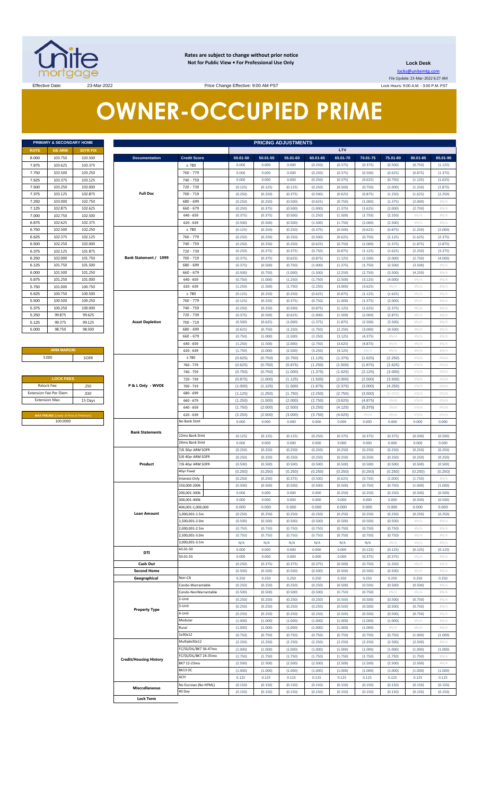

**Rates are subject to change without prior notice Not for Public View • For Professional Use Only** 

**Lock Desk**

locks@unitemtg.com File Update: 23-Mar-2022 6:27 AM Lock Hours: 9:00 A.M. - 3:00 P.M. PST

Effective Date: 23-Mar-2022 23-Mar-2022 Price Change Effective: 9:00 AM PST

# **OWNER-OCCUPIED PRIME**

| <b>PRIMARY &amp; SECONDARY HOME</b> |                |          |  |  |  |  |  |  |  |  |
|-------------------------------------|----------------|----------|--|--|--|--|--|--|--|--|
| <b>RATE</b>                         | <b>5/6 ARM</b> | 30YR FIX |  |  |  |  |  |  |  |  |
| 8.000                               | 103.750        | 103.500  |  |  |  |  |  |  |  |  |
| 7.875                               | 103.625        | 103.375  |  |  |  |  |  |  |  |  |
| 7.750                               | 103.500        | 103.250  |  |  |  |  |  |  |  |  |
| 7.625                               | 103.375        | 103.125  |  |  |  |  |  |  |  |  |
| 7.500                               | 103.250        | 103,000  |  |  |  |  |  |  |  |  |
| 7.375                               | 103.125        | 102.875  |  |  |  |  |  |  |  |  |
| 7.250                               | 103,000        | 102.750  |  |  |  |  |  |  |  |  |
| 7.125                               | 102.875        | 102.625  |  |  |  |  |  |  |  |  |
| 7.000                               | 102.750        | 102.500  |  |  |  |  |  |  |  |  |
| 6.875                               | 102.625        | 102.375  |  |  |  |  |  |  |  |  |
| 6.750                               | 102.500        | 102.250  |  |  |  |  |  |  |  |  |
| 6.625                               | 102.375        | 102.125  |  |  |  |  |  |  |  |  |
| 6.500                               | 102.250        | 102,000  |  |  |  |  |  |  |  |  |
| 6.375                               | 102.125        | 101.875  |  |  |  |  |  |  |  |  |
| 6.250                               | 102.000        | 101.750  |  |  |  |  |  |  |  |  |
| 6.125                               | 101.750        | 101.500  |  |  |  |  |  |  |  |  |
| 6.000                               | 101.500        | 101.250  |  |  |  |  |  |  |  |  |
| 5.875                               | 101.250        | 101.000  |  |  |  |  |  |  |  |  |
| 5.750                               | 101.000        | 100.750  |  |  |  |  |  |  |  |  |
| 5.625                               | 100.750        | 100.500  |  |  |  |  |  |  |  |  |
| 5.500                               | 100,500        | 100.250  |  |  |  |  |  |  |  |  |
| 5.375                               | 100.250        | 100.000  |  |  |  |  |  |  |  |  |
| 5.250                               | 99.875         | 99.625   |  |  |  |  |  |  |  |  |
| 5.125                               | 99.375         | 99.125   |  |  |  |  |  |  |  |  |
| 5.000                               | 98.750         | 98.500   |  |  |  |  |  |  |  |  |

**ARM MARGIN** 5.000

| <b>LOCK FEES</b>       |         |
|------------------------|---------|
| Relock Fee:            | .250    |
| Extension Fee Per Diem | .030    |
| <b>Extension Max:</b>  | 15 Days |

|                | PRIMARY & SECONDARY HOME                            |                    |                               |                             |                    | <b>PRICING ADJUSTMENTS</b> |                    |                    |                    |                    |                    |                    |                    |  |
|----------------|-----------------------------------------------------|--------------------|-------------------------------|-----------------------------|--------------------|----------------------------|--------------------|--------------------|--------------------|--------------------|--------------------|--------------------|--------------------|--|
| RATE           | <b>5/6 ARM</b>                                      | 30YR FIX           |                               |                             |                    |                            |                    |                    | LTV                |                    |                    |                    |                    |  |
| 8.000          | 103.750                                             | 103.500            | <b>Documentation</b>          | <b>Credit Score</b>         | 00.01-50           | 50.01-55                   | 55.01-60           | 60.01-65           | 65.01-70           | 70.01-75           | 75.01-80           | 80.01-85           | 85.01-90           |  |
| 7.875          | 103.625                                             | 103.375            |                               | $\geq 780$                  | 0.000              | 0.000                      | 0.000              | (0.250)            | (0.375)            | (0.375)            | (0.500)            | (0.750)            | (1.125)            |  |
| 7.750          | 103.500                                             | 103.250            |                               | 760 - 779                   | 0.000              | 0.000                      | 0.000              | (0.250)            | (0.375)            | (0.500)            | (0.625)            | (0.875)            | (1.375)            |  |
| 7.625          | 103.375                                             | 103.125            |                               | 740 - 759                   | 0.000              | 0.000                      | 0.000              | (0.250)            | (0.375)            | (0.625)            | (0.750)            | (1.125)            | (1.625)            |  |
| 7.500          | 103.250                                             | 103.000            |                               | 720 - 739                   | (0.125)            | (0.125)                    | (0.125)            | (0.250)            | (0.500)            | (0.750)            | (1.000)            | (1.250)            | (1.875)            |  |
| 7.375          | 103.125                                             | 102.875            | <b>Full Doc</b>               | $700 - 719$                 | (0.250)            | (0.250)                    | (0.375)            | (0.500)            | (0.625)            | (0.875)            | (1.250)            | (1.625)            | (2.250)            |  |
| 7.250          | 103.000                                             | 102.750            |                               | 680 - 699                   | (0.250)            | (0.250)                    | (0.500)            | (0.625)            | (0.750)            | (1.000)            | (1.375)            | (2.000)            | #N/A               |  |
| 7.125          | 102.875                                             | 102.625            |                               | $660 - 679$                 | (0.250)            | (0.375)                    | (0.500)            | (1.000)            | (1.375)            | (1.625)            | (2.000)            | (2.750)            | $\#N/A$            |  |
| 7.000          | 102.750                                             | 102.500            |                               | $640 - 659$                 | (0.375)            | (0.375)                    | (0.500)            | (1.250)            | (1.500)            | (1.750)            | (2.250)            | $\#N/A$            | H N/A              |  |
| 6.875          | 102.625                                             | 102.375            |                               | $620 - 639$                 | (0.500)            | (0.500)                    | (0.500)            | (1.500)            | (1.750)            | (2.000)            | (2.500)            | $\#N/A$            | H N/A              |  |
| 6.750          | 102.500                                             | 102.250            |                               | $\geq 780$<br>760 - 779     | (0.125)            | (0.250)                    | (0.250)            | (0.375)            | (0.500)            | (0.625)            | (0.875)            | (1.250)            | (2.000)            |  |
| 6.625          | 102.375                                             | 102.125            |                               |                             | (0.250)            | (0.250)                    | (0.250)            | (0.500)            | (0.625)            | (0.750)            | (1.125)            | (1.625)            | (2.375)            |  |
| 6.500          | 102.250                                             | 102.000            |                               | 740 - 759                   | (0.250)            | (0.250)                    | (0.250)            | (0.625)            | (0.750)            | (1.000)            | (1.375)            | (1.875)            | (2.875)            |  |
| 6.375<br>6.250 | 102.125<br>102.000                                  | 101.875<br>101.750 | Bank Statement / 1099         | 720 - 739<br>700 - 719      | (0.250)            | (0.375)                    | (0.375)            | (0.750)            | (0.875)            | (1.125)            | (1.625)<br>(2.000) | (2.250)            | (3.375)            |  |
| 6.125          | 101.750                                             | 101.500            |                               | 680 - 699                   | (0.375)<br>(0.375) | (0.375)<br>(0.500)         | (0.625)<br>(0.750) | (0.875)<br>(1.000) | (1.125)<br>(1.375) | (1.500)<br>(1.750) | (2.500)            | (2.750)<br>(3.500) | (4.000)<br>$\#N/A$ |  |
| 6.000          | 101.500                                             | 101.250            |                               | $660 - 679$                 | (0.500)            | (0.750)                    | (1.000)            | (1.500)            | (2.250)            | (2.750)            | (3.500)            | (4.250)            | #N/A               |  |
| 5.875          | 101.250                                             | 101.000            |                               | $640 - 659$                 | (0.750)            | (1.000)                    | (1.250)            | (1.750)            | (2.500)            | (3.125)            | (4.000)            | H N/A              | $\#N/A$            |  |
| 5.750          | 101.000                                             | 100.750            |                               | $620 - 639$                 | (1.250)            | (1.500)                    | (1.750)            | (2.250)            | (3.000)            | (3.625)            | #N/A               | $\#N/A$            | #N/A               |  |
| 5.625          | 100.750                                             | 100.500            |                               | $\geq 780$                  | (0.125)            | (0.250)                    | (0.250)            | (0.625)            | (0.875)            | (1.125)            | (1.625)            | H N/A              | #N/A               |  |
| 5.500          | 100.500                                             | 100.250            |                               | 760 - 779                   | (0.125)            | (0.250)                    | (0.375)            | (0.750)            | (1.000)            | (1.375)            | (2.000)            | $\#N/A$            | #N/A               |  |
| 5.375          | 100.250                                             | 100.000            |                               | 740 - 759                   | (0.250)            | (0.250)                    | (0.500)            | (0.875)            | (1.125)            | (1.625)            | (2.375)            | $\#N/A$            | $\#N/A$            |  |
| 5.250          | 99.875                                              | 99.625             |                               | 720 - 739                   | (0.375)            | (0.500)                    | (0.625)            | (1.000)            | (1.500)            | (2.000)            | (2.875)            | H N/A              | #N/A               |  |
| 5.125          | 99.375                                              | 99.125             | <b>Asset Depletion</b>        | $700 - 719$                 | (0.500)            | (0.625)                    | (1.000)            | (1.375)            | (1.875)            | (2.500)            | (3.500)            | $\#N/A$            | $\#N/A$            |  |
| 5.000          | 98.750                                              | 98.500             |                               | 680 - 699                   | (0.625)            | (0.750)                    | (1.250)            | (1.750)            | (2.250)            | (3.000)            | (4.500)            | H N/A              | $\#N/A$            |  |
|                |                                                     |                    |                               | $660 - 679$                 | (0.750)            | (1.000)                    | (1.500)            | (2.250)            | (3.125)            | (4.375)            | #N/A               | H N/A              | H N/A              |  |
|                |                                                     |                    |                               | $640 - 659$                 | (1.250)            | (1.500)                    | (2.000)            | (2.750)            | (3.625)            | (4.875)            | $\#N/A$            | H N/A              | #N/A               |  |
|                | <b>ARM MARGIN</b>                                   |                    |                               | $620 - 639$                 | (1.750)            | (2.000)                    | (2.500)            | (3.250)            | (4.125)            | #N/A               | #N/A               | H N/A              | H N/A              |  |
|                | 5.000                                               | SOFR               |                               | $\geq 780$                  | (0.625)            | (0.750)                    | (0.750)            | (1.125)            | (1.375)            | (1.625)            | (2.250)            | #N/A               | #N/A               |  |
|                |                                                     |                    |                               | 760 - 779                   | (0.625)            | (0.750)                    | (0.875)            | (1.250)            | (1.500)            | (1.875)            | (2.625)            | #N/A               | #N/A               |  |
|                |                                                     |                    |                               | 740 - 759                   | (0.750)            | (0.750)                    | (1.000)            | (1.375)            | (1.625)            | (2.125)            | (3.000)            | #N/A               | #N/A               |  |
|                | <b>LOCK FEES</b>                                    |                    |                               | 720 - 739                   | (0.875)            | (1.000)                    | (1.125)            | (1.500)            | (2.000)            | (2.500)            | (3.500)            | #N/A               | #N/A               |  |
|                | Relock Fee:                                         | .250               | P & L Only - WVOE             | 700 - 719                   | (1.000)            | (1.125)                    | (1.500)            | (1.875)            | (2.375)            | (3.000)            | (4.250)            | #N/A               | #N/A               |  |
|                | xtension Fee Per Diem                               | .030               |                               | 680 - 699                   | (1.125)            | (1.250)                    | (1.750)            | (2.250)            | (2.750)            | (3.500)            | (5.000)            | #N/A               | #N/A               |  |
|                | Extension Max:                                      | 15 Days            |                               | $660 - 679$                 | (1.250)            | (1.500)                    | (2.000)            | (2.750)            | (3.625)            | (4.875)            | #N/A               | #N/A               | #N/A               |  |
|                |                                                     |                    |                               | $640 - 659$                 | (1.750)            | (2.000)                    | (2.500)            | (3.250)            | (4.125)            | (5.375)            | #N/A               | #N/A               | #N/A               |  |
|                | MAX PRICING (Lower of Price or Premium)<br>100.0000 |                    |                               | $620 - 639$<br>No Bank Stmt | (2.250)<br>0.000   | (2.500)<br>0.000           | (3.000)<br>0.000   | (3.750)<br>0.000   | (4.625)<br>0.000   | #N/A<br>0.000      | #N/A<br>0.000      | #N/A<br>0.000      | #N/A<br>0.000      |  |
|                |                                                     |                    |                               |                             |                    |                            |                    |                    |                    |                    |                    |                    |                    |  |
|                |                                                     |                    | <b>Bank Statements</b>        | 12mo Bank Stmt              | (0.125)            | (0.125)                    | (0.125)            | (0.250)            | (0.375)            | (0.375)            | (0.375)            | (0.500)            | (0.500)            |  |
|                |                                                     |                    |                               | 24mo Bank Stmt              | 0.000              | 0.000                      | 0.000              | 0.000              | 0.000              | 0.000              | 0.000              | 0.000              | 0.000              |  |
|                |                                                     |                    |                               | 7/6 30yr ARM SOFR           | (0.250)            | (0.250)                    | (0.250)            | (0.250)            | (0.250)            | (0.250)            | (0.250)            | (0.250)            | (0.250)            |  |
|                |                                                     |                    |                               | 5/6 40yr ARM SOFR           | (0.250)            | (0.250)                    | (0.250)            | (0.250)            | (0.250)            | (0.250)            | (0.250)            | (0.250)            | (0.250)            |  |
|                |                                                     |                    | Product                       | 7/6 40yr ARM SOFR           | (0.500)            | (0.500)                    | (0.500)            | (0.500)            | (0.500)            | (0.500)            | (0.500)            | (0.500)            | (0.500)            |  |
|                |                                                     |                    |                               | 40yr Fixed                  | (0.250)            | (0.250)                    | (0.250)            | (0.250)            | (0.250)            | (0.250)            | (0.250)            | (0.250)            | (0.250)            |  |
|                |                                                     |                    |                               | Interest-Only               | (0.250)            | (0.250)                    | (0.375)            | (0.500)            | (0.625)            | (0.750)            | (1.000)            | (1.750)            | $\#N/A$            |  |
|                |                                                     |                    |                               | 150,000-200k                | (0.500)            | (0.500)                    | (0.500)            | (0.500)            | (0.500)            | (0.750)            | (0.750)            | (1.000)            | (1.000)            |  |
|                |                                                     |                    |                               | 200,001-300k                | 0.000              | 0.000                      | 0.000              | 0.000              | (0.250)            | (0.250)            | (0.250)            | (0.500)            | (0.500)            |  |
|                |                                                     |                    |                               | 300,001-400k                | 0.000              | 0.000                      | 0.000              | 0.000              | 0.000              | 0.000              | 0.000              | (0.500)            | (0.500)            |  |
|                |                                                     |                    |                               | 400,001-1,000,000           | 0.000              | 0.000                      | 0.000              | 0.000              | 0.000              | 0.000              | 0.000              | 0.000              | 0.000              |  |
|                |                                                     |                    | <b>Loan Amount</b>            | 1,000,001-1.5m              | (0.250)            | (0.250)                    | (0.250)            | (0.250)            | (0.250)            | (0.250)            | (0.250)            | (0.250)            | (0.250)            |  |
|                |                                                     |                    |                               | 1,500,001-2.0m              | (0.500)            | (0.500)                    | (0.500)            | (0.500)            | (0.500)            | (0.500)            | (0.500)            | $\#N/A$            | #N/A               |  |
|                |                                                     |                    |                               | 2,000,001-2.5m              | (0.750)            | (0.750)                    | (0.750)            | (0.750)            | (0.750)            | (0.750)            | (0.750)            | #N/A               | #N/A               |  |
|                |                                                     |                    |                               | 2,500,001-3.0m              | (0.750)            | (0.750)                    | (0.750)            | (0.750)            | (0.750)            | (0.750)            | (0.750)            | #N/A               | $\#N/A$            |  |
|                |                                                     |                    |                               | 3,000,001-3.5m<br>43.01-50  | N/A                | N/A<br>0.000               | N/A<br>0.000       | N/A                | N/A                | N/A                | $\#N/A$            | H N/A              | $\#N/A$            |  |
|                |                                                     |                    | DTI                           | 50.01-55                    | 0.000<br>0.000     | 0.000                      | 0.000              | 0.000<br>0.000     | 0.000<br>0.000     | (0.125)<br>(0.375) | (0.125)<br>(0.375) | (0.125)<br>#N/A    | (0.125)<br>#N/A    |  |
|                |                                                     |                    | Cash Out                      |                             | (0.250)            | (0.375)                    | (0.375)            | (0.375)            | (0.500)            | (0.750)            | (1.250)            | $\#N/A$            | $\#N/A$            |  |
|                |                                                     |                    | <b>Second Home</b>            |                             | (0.500)            | (0.500)                    | (0.500)            | (0.500)            | (0.500)            | (0.500)            | (0.500)            | H N/A              | H N/A              |  |
|                |                                                     |                    | Geographical                  | Non-CA                      | 0.250              | 0.250                      | 0.250              | 0.250              | 0.250              | 0.250              | 0.250              | 0.250              | 0.250              |  |
|                |                                                     |                    |                               | Condo-Warrantable           | (0.250)            | (0.250)                    | (0.250)            | (0.250)            | (0.500)            | (0.500)            | (0.500)            | (0.500)            | #N/A               |  |
|                |                                                     |                    |                               | Condo-NonWarrantable        | (0.500)            | (0.500)                    | (0.500)            | (0.500)            | (0.750)            | (0.750)            | #N/A               | $\#N/A$            | #N/A               |  |
|                |                                                     |                    |                               | 2-Unit                      | (0.250)            | (0.250)                    | (0.250)            | (0.250)            | (0.500)            | (0.500)            | (0.500)            | (0.750)            | #N/A               |  |
|                |                                                     |                    |                               | 3-Unit                      | (0.250)            | (0.250)                    | (0.250)            | (0.250)            | (0.500)            | (0.500)            | (0.500)            | (0.750)            | $\#N/A$            |  |
|                |                                                     |                    | <b>Property Type</b>          | 4-Unit                      | (0.250)            | (0.250)                    | (0.250)            | (0.250)            | (0.500)            | (0.500)            | (0.500)            | (0.750)            | #N/A               |  |
|                |                                                     |                    |                               | Modular                     | (1.000)            | (1.000)                    | (1.000)            | (1.000)            | (1.000)            | (1.000)            | (1.000)            | $\#N/A$            | $\#N/A$            |  |
|                |                                                     |                    |                               | Rural                       | (1.000)            | (1.000)                    | (1.000)            | (1.000)            | (1.000)            | (1.000)            | #N/A               | H N/A              | $\#N/A$            |  |
|                |                                                     |                    |                               | 1x30x12                     | (0.750)            | (0.750)                    | (0.750)            | (0.750)            | (0.750)            | (0.750)            | (0.750)            | (1.000)            | (1.000)            |  |
|                |                                                     |                    |                               | Multiple30x12               | (2.250)            | (2.250)                    | (2.250)            | (2.250)            | (2.250)            | (2.250)            | (2.500)            | (2.500)            | #N/A               |  |
|                |                                                     |                    |                               | FC/SS/DIL/BK7 36-47mo       | (1.000)            | (1.000)                    | (1.000)            | (1.000)            | (1.000)            | (1.000)            | (1.000)            | (1.000)            | (1.000)            |  |
|                |                                                     |                    | <b>Credit/Housing History</b> | FC/SS/DIL/BK7 24-35mo       | (1.750)            | (1.750)                    | (1.750)            | (1.750)            | (1.750)            | (1.750)            | (1.750)            | (1.750)            | #N/A               |  |
|                |                                                     |                    |                               | BK7 12-23mo                 | (2.500)            | (2.500)                    | (2.500)            | (2.500)            | (2.500)            | (2.500)            | (2.500)            | (2.500)            | $\#N/A$            |  |
|                |                                                     |                    |                               | BK13 DC<br>ACH              | (1.000)            | (1.000)                    | (1.000)            | (1.000)            | (1.000)            | (1.000)            | (1.000)            | (1.000)            | (1.000)            |  |
|                |                                                     |                    |                               | No Escrows (No HPML)        | 0.125<br>(0.150)   | 0.125<br>(0.150)           | 0.125<br>(0.150)   | 0.125<br>(0.150)   | 0.125              | 0.125<br>(0.150)   | 0.125<br>(0.150)   | 0.125<br>(0.150)   | 0.125<br>(0.150)   |  |
|                |                                                     |                    | <b>Misccellaneous</b>         | 40 Day                      | (0.150)            | (0.150)                    | (0.150)            | (0.150)            | (0.150)<br>(0.150) | (0.150)            | (0.150)            | (0.150)            | (0.150)            |  |
|                |                                                     |                    | <b>Lock Term</b>              |                             |                    |                            |                    |                    |                    |                    |                    |                    |                    |  |
|                |                                                     |                    |                               |                             |                    |                            |                    |                    |                    |                    |                    |                    |                    |  |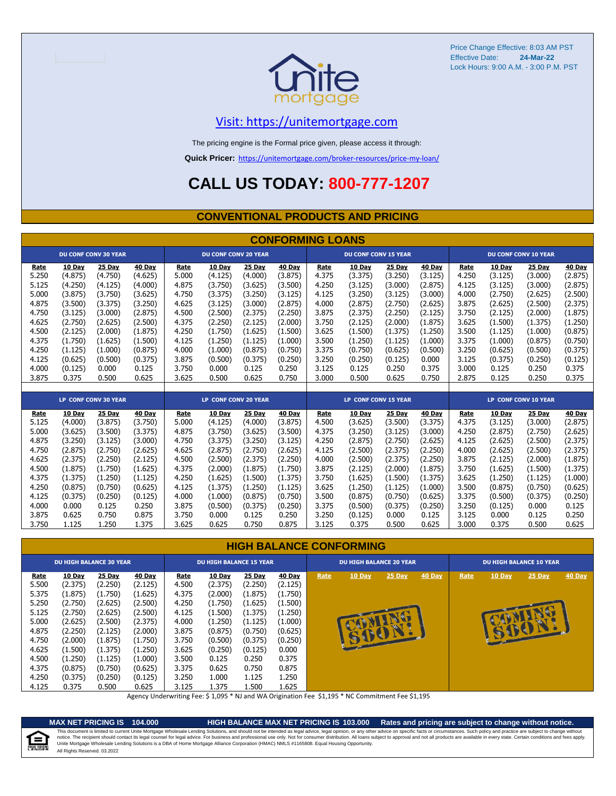

## [V](https://unitemortgage.com/)isit: https://unitemortgage.com

The pricing engine is the Formal price given, please access it through:

**Quick Pricer:** [https://un](https://unitemortgage.com/broker-resources/price-my-loan/)itemortgage.com/broker-resources/price-my-loan/

## **CALL US TODAY: 800-777-1207**

### **CONVENTIONAL PRODUCTS AND PRICING**

| <b>CONFORMING LOANS</b> |         |                             |         |       |                             |         |         |       |                             |               |               |       |               |                             |         |
|-------------------------|---------|-----------------------------|---------|-------|-----------------------------|---------|---------|-------|-----------------------------|---------------|---------------|-------|---------------|-----------------------------|---------|
|                         |         | <b>DU CONF CONV 30 YEAR</b> |         |       | <b>DU CONF CONV 20 YEAR</b> |         |         |       | <b>DU CONF CONV 15 YEAR</b> |               |               |       |               | <b>DU CONF CONV 10 YEAR</b> |         |
| Rate                    | 10 Day  | <b>25 Day</b>               | 40 Day  | Rate  | 10 Day                      | 25 Day  | 40 Day  | Rate  | 10 Day                      | <b>25 Day</b> | 40 Day        | Rate  | <b>10 Day</b> | 25 Day                      | 40 Day  |
| 5.250                   | (4.875) | (4.750)                     | (4.625) | 5.000 | (4.125)                     | (4.000) | (3.875) | 4.375 | (3.375)                     | (3.250)       | (3.125)       | 4.250 | (3.125)       | (3.000)                     | (2.875) |
| 5.125                   | (4.250) | (4.125)                     | (4.000) | 4.875 | (3.750)                     | (3.625) | (3.500) | 4.250 | (3.125)                     | (3.000)       | (2.875)       | 4.125 | (3.125)       | (3.000)                     | (2.875) |
| 5.000                   | (3.875) | (3.750)                     | (3.625) | 4.750 | (3.375)                     | (3.250) | (3.125) | 4.125 | (3.250)                     | (3.125)       | (3.000)       | 4.000 | (2.750)       | (2.625)                     | (2.500) |
| 4.875                   | (3.500) | (3.375)                     | (3.250) | 4.625 | (3.125)                     | (3.000) | (2.875) | 4.000 | (2.875)                     | (2.750)       | (2.625)       | 3.875 | (2.625)       | (2.500)                     | (2.375) |
| 4.750                   | (3.125) | (3.000)                     | (2.875) | 4.500 | (2.500)                     | (2.375) | (2.250) | 3.875 | (2.375)                     | (2.250)       | (2.125)       | 3.750 | (2.125)       | (2.000)                     | (1.875) |
| 4.625                   | (2.750) | (2.625)                     | (2.500) | 4.375 | (2.250)                     | (2.125) | (2.000) | 3.750 | (2.125)                     | (2.000)       | (1.875)       | 3.625 | (1.500)       | (1.375)                     | (1.250) |
| 4.500                   | (2.125) | (2.000)                     | (1.875) | 4.250 | (1.750)                     | (1.625) | (1.500) | 3.625 | (1.500)                     | (1.375)       | (1.250)       | 3.500 | (1.125)       | (1.000)                     | (0.875) |
| 4.375                   | (1.750) | (1.625)                     | (1.500) | 4.125 | (1.250)                     | (1.125) | (1.000) | 3.500 | (1.250)                     | (1.125)       | (1.000)       | 3.375 | (1.000)       | (0.875)                     | (0.750) |
| 4.250                   | (1.125) | (1.000)                     | (0.875) | 4.000 | (1.000)                     | (0.875) | (0.750) | 3.375 | (0.750)                     | (0.625)       | (0.500)       | 3.250 | (0.625)       | (0.500)                     | (0.375) |
| 4.125                   | (0.625) | (0.500)                     | (0.375) | 3.875 | (0.500)                     | (0.375) | (0.250) | 3.250 | (0.250)                     | (0.125)       | 0.000         | 3.125 | (0.375)       | (0.250)                     | (0.125) |
| 4.000                   | (0.125) | 0.000                       | 0.125   | 3.750 | 0.000                       | 0.125   | 0.250   | 3.125 | 0.125                       | 0.250         | 0.375         | 3.000 | 0.125         | 0.250                       | 0.375   |
| 3.875                   | 0.375   | 0.500                       | 0.625   | 3.625 | 0.500                       | 0.625   | 0.750   | 3.000 | 0.500                       | 0.625         | 0.750         | 2.875 | 0.125         | 0.250                       | 0.375   |
|                         |         |                             |         |       |                             |         |         |       |                             |               |               |       |               |                             |         |
|                         |         | <b>LP CONF CONV 30 YEAR</b> |         |       | <b>LP CONF CONV 20 YEAR</b> |         |         |       | <b>LP CONF CONV 15 YEAR</b> |               |               |       |               | LP CONF CONV 10 YEAR        |         |
| Rate                    | 10 Day  | 25 Day                      | 40 Day  | Rate  | 10 Day                      | 25 Day  | 40 Day  | Rate  | 10 Day                      | 25 Day        | <b>40 Day</b> | Rate  | 10 Day        | 25 Day                      | 40 Day  |
| 5.125                   | (4.000) | (3.875)                     | (3.750) | 5.000 | (4.125)                     | (4.000) | (3.875) | 4.500 | (3.625)                     | (3.500)       | (3.375)       | 4.375 | (3.125)       | (3.000)                     | (2.875) |
| 5.000                   | (3.625) | (3.500)                     | (3.375) | 4.875 | (3.750)                     | (3.625) | (3.500) | 4.375 | (3.250)                     | (3.125)       | (3.000)       | 4.250 | (2.875)       | (2.750)                     | (2.625) |
| 4.875                   | (3.250) | (3.125)                     | (3.000) | 4.750 | (3.375)                     | (3.250) | (3.125) | 4.250 | (2.875)                     | (2.750)       | (2.625)       | 4.125 | (2.625)       | (2.500)                     | (2.375) |
| 4.750                   | (2.875) | (2.750)                     | (2.625) | 4.625 | (2.875)                     | (2.750) | (2.625) | 4.125 | (2.500)                     | (2.375)       | (2.250)       | 4.000 | (2.625)       | (2.500)                     | (2.375) |
| 4.625                   | (2.375) | (2.250)                     | (2.125) | 4.500 | (2.500)                     | (2.375) | (2.250) | 4.000 | (2.500)                     | (2.375)       | (2.250)       | 3.875 | (2.125)       | (2.000)                     | (1.875) |
| 4.500                   | (1.875) | (1.750)                     | (1.625) | 4.375 | (2.000)                     | (1.875) | (1.750) | 3.875 | (2.125)                     | (2.000)       | (1.875)       | 3.750 | (1.625)       | (1.500)                     | (1.375) |
| 4.375                   | (1.375) | (1.250)                     | (1.125) | 4.250 | (1.625)                     | (1.500) | (1.375) | 3.750 | (1.625)                     | (1.500)       | (1.375)       | 3.625 | (1.250)       | (1.125)                     | (1.000) |
| 4.250                   | (0.875) | (0.750)                     | (0.625) | 4.125 | (1.375)                     | (1.250) | (1.125) | 3.625 | (1.250)                     | (1.125)       | (1.000)       | 3.500 | (0.875)       | (0.750)                     | (0.625) |
| 4.125                   | (0.375) | (0.250)                     | (0.125) | 4.000 | (1.000)                     | (0.875) | (0.750) | 3.500 | (0.875)                     | (0.750)       | (0.625)       | 3.375 | (0.500)       | (0.375)                     | (0.250) |
| 4.000                   | 0.000   | 0.125                       | 0.250   | 3.875 | (0.500)                     | (0.375) | (0.250) | 3.375 | (0.500)                     | (0.375)       | (0.250)       | 3.250 | (0.125)       | 0.000                       | 0.125   |
| 3.875                   | 0.625   | 0.750                       | 0.875   | 3.750 | 0.000                       | 0.125   | 0.250   | 3.250 | (0.125)                     | 0.000         | 0.125         | 3.125 | 0.000         | 0.125                       | 0.250   |
| 3.750                   | 1.125   | 1.250                       | 1.375   | 3.625 | 0.625                       | 0.750   | 0.875   | 3.125 | 0.375                       | 0.500         | 0.625         | 3.000 | 0.375         | 0.500                       | 0.625   |

### **HIGH BALANCE CONFORMING**

|       | <b>DU HIGH BALANCE 30 YEAR</b> |         |               | <b>DU HIGH BALANCE 15 YEAR</b> |               |         |               |      | <b>DU HIGH BALANCE 20 YEAR</b> |          |               | <b>DU HIGH BALANCE 10 YEAR</b> |               |          |               |  |  |
|-------|--------------------------------|---------|---------------|--------------------------------|---------------|---------|---------------|------|--------------------------------|----------|---------------|--------------------------------|---------------|----------|---------------|--|--|
| Rate  | <b>10 Day</b>                  | 25 Day  | <b>40 Day</b> | Rate                           | <b>10 Day</b> | 25 Day  | <b>40 Day</b> | Rate | $10$ Day                       | $25$ Day | <b>40 Day</b> | Rate                           | <b>10 Day</b> | $25$ Day | <b>40 Day</b> |  |  |
| 5.500 | (2.375)                        | (2.250) | (2.125)       | 4.500                          | (2.375)       | (2.250) | (2.125)       |      |                                |          |               |                                |               |          |               |  |  |
| 5.375 | (1.875)                        | (1.750) | (1.625)       | 4.375                          | (2.000)       | (1.875) | (1.750)       |      |                                |          |               |                                |               |          |               |  |  |
| 5.250 | (2.750)                        | (2.625) | (2.500)       | 4.250                          | (1.750)       | (1.625) | (1.500)       |      |                                |          |               |                                |               |          |               |  |  |
| 5.125 | (2.750)                        | (2.625) | (2.500)       | 4.125                          | (1.500)       | (1.375) | (1.250)       |      |                                |          |               |                                |               |          |               |  |  |
| 5.000 | (2.625)                        | (2.500) | (2.375)       | 4.000                          | (1.250)       | (1.125) | (1.000)       |      |                                |          |               |                                |               |          |               |  |  |
| 4.875 | (2.250)                        | (2.125) | (2.000)       | 3.875                          | (0.875)       | (0.750) | (0.625)       |      |                                |          |               |                                | B             |          |               |  |  |
| 4.750 | (2.000)                        | (1.875) | (1.750)       | 3.750                          | (0.500)       | (0.375) | (0.250)       |      |                                |          |               |                                |               |          |               |  |  |
| 4.625 | (1.500)                        | (1.375) | (1.250)       | 3.625                          | (0.250)       | (0.125) | 0.000         |      |                                |          |               |                                |               |          |               |  |  |
| 4.500 | (1.250)                        | (1.125) | (1.000)       | 3.500                          | 0.125         | 0.250   | 0.375         |      |                                |          |               |                                |               |          |               |  |  |
| 4.375 | (0.875)                        | (0.750) | (0.625)       | 3.375                          | 0.625         | 0.750   | 0.875         |      |                                |          |               |                                |               |          |               |  |  |
| 4.250 | (0.375)                        | (0.250) | (0.125)       | 3.250                          | 1.000         | 1.125   | 1.250         |      |                                |          |               |                                |               |          |               |  |  |
| 4.125 | 0.375                          | 0.500   | 0.625         | 3.125                          | 1.375         | 1.500   | 1.625         |      |                                |          |               |                                |               |          |               |  |  |

Agency Underwriting Fee: \$ 1,095 \* NJ and WA Origination Fee \$1,195 \* NC Commitment Fee \$1,195

## ⋐

**MAX NET PRICING IS 104.000 HIGH BALANCE MAX NET PRICING IS 103.000 Rates and pricing are subject to change without notice.** All Rights Reserved. 03.2022 This document is limited to current Unite Mortgage Wholesale Lending Solutions, and should not be intended as legal advice, legal opinion, or any other advice on specific facts or circumstances. Such policy and practice ar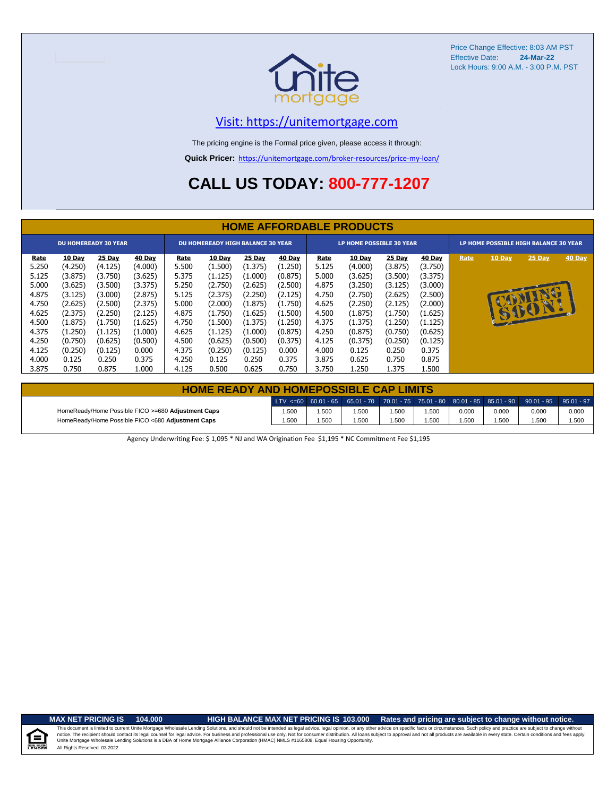

## [V](https://unitemortgage.com/)isit: https://unitemortgage.com

The pricing engine is the Formal price given, please access it through:

**Quick Pricer:** [https://un](https://unitemortgage.com/broker-resources/price-my-loan/)itemortgage.com/broker-resources/price-my-loan/

## **CALL US TODAY: 800-777-1207**

|             | <b>HOME AFFORDABLE PRODUCTS</b> |                             |         |       |                                          |         |               |       |                                 |               |               |                                       |        |          |        |
|-------------|---------------------------------|-----------------------------|---------|-------|------------------------------------------|---------|---------------|-------|---------------------------------|---------------|---------------|---------------------------------------|--------|----------|--------|
|             |                                 | <b>DU HOMEREADY 30 YEAR</b> |         |       | <b>DU HOMEREADY HIGH BALANCE 30 YEAR</b> |         |               |       | <b>LP HOME POSSIBLE 30 YEAR</b> |               |               | LP HOME POSSIBLE HIGH BALANCE 30 YEAR |        |          |        |
| <u>Rate</u> | <b>10 Day</b>                   | <b>25 Day</b>               | 40 Day  | Rate  | <b>10 Day</b>                            | 25 Day  | <b>40 Day</b> | Rate  | 10 Day                          | <b>25 Day</b> | <b>40 Day</b> | Rate                                  | 10 Day | $25$ Day | 40 Day |
| 5.250       | (4.250)                         | (4.125)                     | (4.000) | 5.500 | (1.500)                                  | (1.375) | (1.250)       | 5.125 | (4.000)                         | (3.875)       | (3.750)       |                                       |        |          |        |
| 5.125       | (3.875)                         | (3.750)                     | (3.625) | 5.375 | (1.125)                                  | (1.000) | (0.875)       | 5.000 | (3.625)                         | (3.500)       | (3.375)       |                                       |        |          |        |
| 5.000       | (3.625)                         | (3.500)                     | (3.375) | 5.250 | (2.750)                                  | (2.625) | (2.500)       | 4.875 | (3.250)                         | (3.125)       | (3.000)       |                                       |        |          |        |
| 4.875       | (3.125)                         | (3.000)                     | (2.875) | 5.125 | (2.375)                                  | (2.250) | (2.125)       | 4.750 | (2.750)                         | (2.625)       | (2.500)       |                                       |        |          |        |
| 4.750       | (2.625)                         | (2.500)                     | (2.375) | 5.000 | (2.000)                                  | (1.875) | (1.750)       | 4.625 | (2.250)                         | (2.125)       | (2.000)       |                                       |        |          |        |
| 4.625       | (2.375)                         | (2.250)                     | (2.125) | 4.875 | (1.750)                                  | (1.625) | (1.500)       | 4.500 | (1.875)                         | (1.750)       | (1.625)       |                                       |        | 15001.   |        |
| 4.500       | (1.875)                         | (1.750)                     | (1.625) | 4.750 | (1.500)                                  | (1.375) | (1.250)       | 4.375 | (1.375)                         | (1.250)       | (1.125)       |                                       |        |          |        |
| 4.375       | (1.250)                         | (1.125)                     | (1.000) | 4.625 | (1.125)                                  | (1.000) | (0.875)       | 4.250 | (0.875)                         | (0.750)       | (0.625)       |                                       |        |          |        |
| 4.250       | (0.750)                         | (0.625)                     | (0.500) | 4.500 | (0.625)                                  | (0.500) | (0.375)       | 4.125 | (0.375)                         | (0.250)       | (0.125)       |                                       |        |          |        |
| 4.125       | (0.250)                         | (0.125)                     | 0.000   | 4.375 | (0.250)                                  | (0.125) | 0.000         | 4.000 | 0.125                           | 0.250         | 0.375         |                                       |        |          |        |
| 4.000       | 0.125                           | 0.250                       | 0.375   | 4.250 | 0.125                                    | 0.250   | 0.375         | 3.875 | 0.625                           | 0.750         | 0.875         |                                       |        |          |        |
| 3.875       | 0.750                           | 0.875                       | 1.000   | 4.125 | 0.500                                    | 0.625   | 0.750         | 3.750 | 1.250                           | 1.375         | 1.500         |                                       |        |          |        |

| <b>HOME READY AND HOMEPOSSIBLE CAP LIMITS</b>      |       |      |       |       |      |       |       |                                                                                                  |       |  |  |
|----------------------------------------------------|-------|------|-------|-------|------|-------|-------|--------------------------------------------------------------------------------------------------|-------|--|--|
|                                                    |       |      |       |       |      |       |       | LTV <=60 60.01 - 65 65.01 - 70 70.01 - 75 75.01 - 80 80.01 - 85 85.01 - 90 90.01 - 95 95.01 - 97 |       |  |  |
| HomeReady/Home Possible FICO >=680 Adjustment Caps | 1.500 | .500 | 1.500 | 1.500 | .500 | 0.000 | 0.000 | 0.000                                                                                            | 0.000 |  |  |
| HomeReady/Home Possible FICO <680 Adjustment Caps  | 1.500 | .500 | 1.500 | 1.500 | .500 | 1.500 | 1.500 | 1.500                                                                                            | 1.500 |  |  |

Agency Underwriting Fee: \$ 1,095 \* NJ and WA Origination Fee \$1,195 \* NC Commitment Fee \$1,195

 $\equiv$ 

**MAX NET PRICING IS 104.000 HIGH BALANCE MAX NET PRICING IS 103.000 Rates and pricing are subject to change without notice.**

All Rights Reserved. 03.2022 This document is limited to current Unite Mortgage Wholesale Lending Solutions, and should not be intended as legal advice, legal opinion, or any other advice on specific facts or circumstances. Such policy and practice ar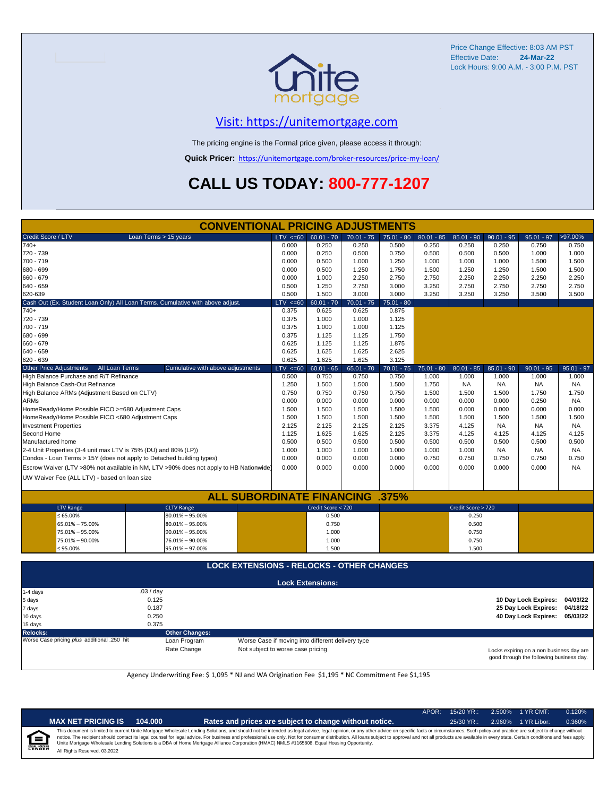

## [V](https://unitemortgage.com/)isit: https://unitemortgage.com

The pricing engine is the Formal price given, please access it through:

**Quick Pricer:** [https://un](https://unitemortgage.com/broker-resources/price-my-loan/)itemortgage.com/broker-resources/price-my-loan/

## **CALL US TODAY: 800-777-1207**

|                                                    | <b>CONVENTIONAL PRICING ADJUSTMENTS</b>                                                |             |                         |              |              |              |                    |              |                      |              |
|----------------------------------------------------|----------------------------------------------------------------------------------------|-------------|-------------------------|--------------|--------------|--------------|--------------------|--------------|----------------------|--------------|
| Credit Score / LTV                                 | Loan Terms > 15 years                                                                  | $LTV < =60$ | $60.01 - 70$            | $70.01 - 75$ | 75.01 - 80   | $80.01 - 85$ | $85.01 - 90$       | $90.01 - 95$ | $95.01 - 97$         | >97.00%      |
| $740+$                                             |                                                                                        | 0.000       | 0.250                   | 0.250        | 0.500        | 0.250        | 0.250              | 0.250        | 0.750                | 0.750        |
| 720 - 739                                          |                                                                                        | 0.000       | 0.250                   | 0.500        | 0.750        | 0.500        | 0.500              | 0.500        | 1.000                | 1.000        |
| 700 - 719                                          |                                                                                        | 0.000       | 0.500                   | 1.000        | 1.250        | 1.000        | 1.000              | 1.000        | 1.500                | 1.500        |
| 680 - 699                                          |                                                                                        | 0.000       | 0.500                   | 1.250        | 1.750        | 1.500        | 1.250              | 1.250        | 1.500                | 1.500        |
| 660 - 679                                          |                                                                                        | 0.000       | 1.000                   | 2.250        | 2.750        | 2.750        | 2.250              | 2.250        | 2.250                | 2.250        |
| 640 - 659                                          |                                                                                        | 0.500       | 1.250                   | 2.750        | 3.000        | 3.250        | 2.750              | 2.750        | 2.750                | 2.750        |
| 620-639                                            |                                                                                        | 0.500       | 1.500                   | 3.000        | 3.000        | 3.250        | 3.250              | 3.250        | 3.500                | 3.500        |
|                                                    | Cash Out (Ex. Student Loan Only) All Loan Terms. Cumulative with above adjust.         | LTV < 60    | $60.01 - 70$            | $70.01 - 75$ | 75.01 - 80   |              |                    |              |                      |              |
| $740+$                                             |                                                                                        | 0.375       | 0.625                   | 0.625        | 0.875        |              |                    |              |                      |              |
| 720 - 739                                          |                                                                                        | 0.375       | 1.000                   | 1.000        | 1.125        |              |                    |              |                      |              |
| 700 - 719                                          |                                                                                        | 0.375       | 1.000                   | 1.000        | 1.125        |              |                    |              |                      |              |
| 680 - 699                                          |                                                                                        | 0.375       | 1.125                   | 1.125        | 1.750        |              |                    |              |                      |              |
| 660 - 679                                          |                                                                                        | 0.625       | 1.125                   | 1.125        | 1.875        |              |                    |              |                      |              |
| 640 - 659                                          |                                                                                        | 0.625       | 1.625                   | 1.625        | 2.625        |              |                    |              |                      |              |
| 620 - 639                                          |                                                                                        | 0.625       | 1.625                   | 1.625        | 3.125        |              |                    |              |                      |              |
| Other Price Adjustments                            | All Loan Terms<br>Cumulative with above adjustments                                    | $LTV < =60$ | $60.01 - 65$            | $65.01 - 70$ | $70.01 - 75$ | $75.01 - 80$ | $80.01 - 85$       | $85.01 - 90$ | $90.01 - 95$         | $95.01 - 97$ |
| High Balance Purchase and R/T Refinance            |                                                                                        | 0.500       | 0.750                   | 0.750        | 0.750        | 1.000        | 1.000              | 1.000        | 1.000                | 1.000        |
| High Balance Cash-Out Refinance                    |                                                                                        | 1.250       | 1.500                   | 1.500        | 1.500        | 1.750        | <b>NA</b>          | <b>NA</b>    | NA                   | <b>NA</b>    |
| High Balance ARMs (Adjustment Based on CLTV)       |                                                                                        | 0.750       | 0.750                   | 0.750        | 0.750        | 1.500        | 1.500              | 1.500        | 1.750                | 1.750        |
| <b>ARMs</b>                                        |                                                                                        | 0.000       | 0.000                   | 0.000        | 0.000        | 0.000        | 0.000              | 0.000        | 0.250                | <b>NA</b>    |
| HomeReady/Home Possible FICO >=680 Adjustment Caps |                                                                                        | 1.500       | 1.500                   | 1.500        | 1.500        | 1.500        | 0.000              | 0.000        | 0.000                | 0.000        |
| HomeReady/Home Possible FICO <680 Adjustment Caps  |                                                                                        | 1.500       | 1.500                   | 1.500        | 1.500        | 1.500        | 1.500              | 1.500        | 1.500                | 1.500        |
| <b>Investment Properties</b>                       |                                                                                        | 2.125       | 2.125                   | 2.125        | 2.125        | 3.375        | 4.125              | <b>NA</b>    | <b>NA</b>            | NA.          |
| Second Home                                        |                                                                                        | 1.125       | 1.625                   | 1.625        | 2.125        | 3.375        | 4.125              | 4.125        | 4.125                | 4.125        |
| Manufactured home                                  |                                                                                        | 0.500       | 0.500                   | 0.500        | 0.500        | 0.500        | 0.500              | 0.500        | 0.500                | 0.500        |
|                                                    | 2-4 Unit Properties (3-4 unit max LTV is 75% (DU) and 80% (LP))                        | 1.000       | 1.000                   | 1.000        | 1.000        | 1.000        | 1.000              | NA.          | <b>NA</b>            | NA           |
|                                                    | Condos - Loan Terms > 15Y (does not apply to Detached building types)                  | 0.000       | 0.000                   | 0.000        | 0.000        | 0.750        | 0.750              | 0.750        | 0.750                | 0.750        |
|                                                    | Escrow Waiver (LTV >80% not available in NM, LTV >90% does not apply to HB Nationwide) | 0.000       | 0.000                   | 0.000        | 0.000        | 0.000        | 0.000              | 0.000        | 0.000                | <b>NA</b>    |
|                                                    |                                                                                        |             |                         |              |              |              |                    |              |                      |              |
| UW Waiver Fee (ALL LTV) - based on loan size       |                                                                                        |             |                         |              |              |              |                    |              |                      |              |
|                                                    | <b>ALL SUBORDINATE FINANCING</b>                                                       |             |                         |              | .375%        |              |                    |              |                      |              |
| <b>LTV Range</b>                                   | <b>CLTV Range</b>                                                                      |             | Credit Score < 720      |              |              |              | Credit Score > 720 |              |                      |              |
| ≤ 65.00%                                           | 80.01% - 95.00%                                                                        |             | 0.500                   |              |              |              | 0.250              |              |                      |              |
| 65.01% - 75.00%                                    | 80.01% - 95.00%                                                                        |             | 0.750                   |              |              |              | 0.500              |              |                      |              |
| 75.01% - 95.00%                                    | $90.01\% - 95.00\%$                                                                    |             | 1.000                   |              |              |              | 0.750              |              |                      |              |
| 75.01% - 90.00%                                    | 76.01% - 90.00%                                                                        |             | 1.000                   |              |              |              | 0.750              |              |                      |              |
| ≤ 95.00%                                           | 95.01% - 97.00%                                                                        |             | 1.500                   |              |              |              | 1.500              |              |                      |              |
|                                                    |                                                                                        |             |                         |              |              |              |                    |              |                      |              |
|                                                    | <b>LOCK EXTENSIONS - RELOCKS - OTHER CHANGES</b>                                       |             |                         |              |              |              |                    |              |                      |              |
|                                                    |                                                                                        |             | <b>Lock Extensions:</b> |              |              |              |                    |              |                      |              |
| 1-4 days                                           | .03/day                                                                                |             |                         |              |              |              |                    |              |                      |              |
| 5 days                                             | 0.125                                                                                  |             |                         |              |              |              |                    |              | 10 Day Lock Expires: | 04/03/22     |
| 7 days                                             | 0.187                                                                                  |             |                         |              |              |              |                    |              | 25 Day Lock Expires: | 04/18/22     |
| 10 days                                            | 0.250                                                                                  |             |                         |              |              |              |                    |              | 40 Day Lock Expires: | 05/03/22     |
| 15 days                                            | 0.375                                                                                  |             |                         |              |              |              |                    |              |                      |              |

**Relocks: Other Changes:**

Loan Program *Program* Worse Case if moving into different delivery type Rate Change **Not** subject to worse case pricing Not subject to worse case pricing

Locks expiring on a non business day are good through the following business day.

Agency Underwriting Fee: \$ 1,095 \* NJ and WA Origination Fee \$1,195 \* NC Commitment Fee \$1,195

|   | ¢    |  |
|---|------|--|
| î | NDEF |  |

| T PRICING IS | 104.000 |
|--------------|---------|
|--------------|---------|

**MAX NET PRICING IS 104.000 Rates and prices are subject to change without notice.** 25/30 YR.: 2.960% 1 YR Libor: 0.360%

APOR: 15/20 YR.: 2.500% 1 YR CMT: 0.120%

All Rights Reserved. 03.2022 This document is limited to current Unite Mortgage Wholesale Lending Solutions, and should not be intended as legal advice, legal opinion, or any other advice on specific facts or circumstances. Such policy and practice ar